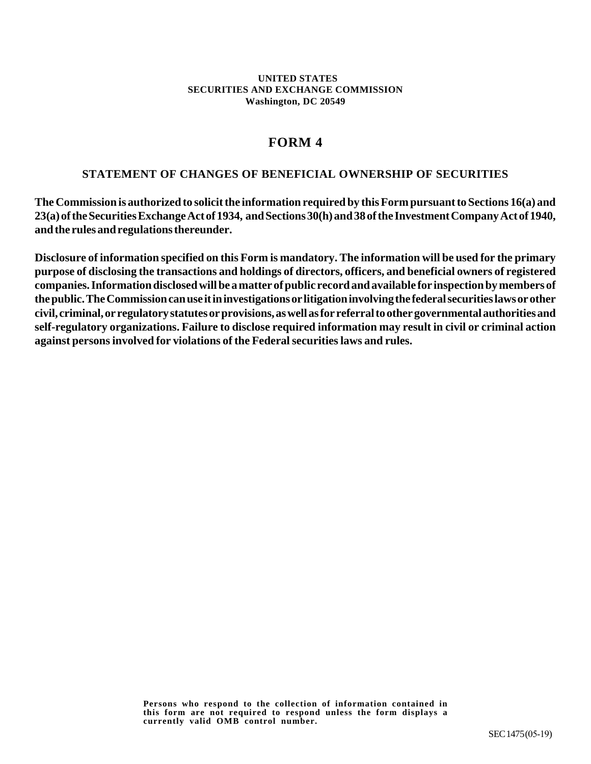#### **UNITED STATES SECURITIES AND EXCHANGE COMMISSION Washington, DC 20549**

# **FORM 4**

# **STATEMENT OF CHANGES OF BENEFICIAL OWNERSHIP OF SECURITIES**

**The Commission is authorized to solicit the information required by this Form pursuant to Sections 16(a) and 23(a) of the Securities Exchange Act of 1934, and Sections 30(h) and 38 of the Investment Company Act of 1940, and the rules and regulations thereunder.** 

**Disclosure of information specified on this Form is mandatory. The information will be used for the primary purpose of disclosing the transactions and holdings of directors, officers, and beneficial owners of registered companies. Information disclosed will be a matter of public record and available for inspection by members of the public. The Commission can use it in investigations or litigation involving the federal securities laws or other civil, criminal, or regulatory statutes or provisions, as well as for referral to other governmental authorities and self-regulatory organizations. Failure to disclose required information may result in civil or criminal action against persons involved for violations of the Federal securities laws and rules.**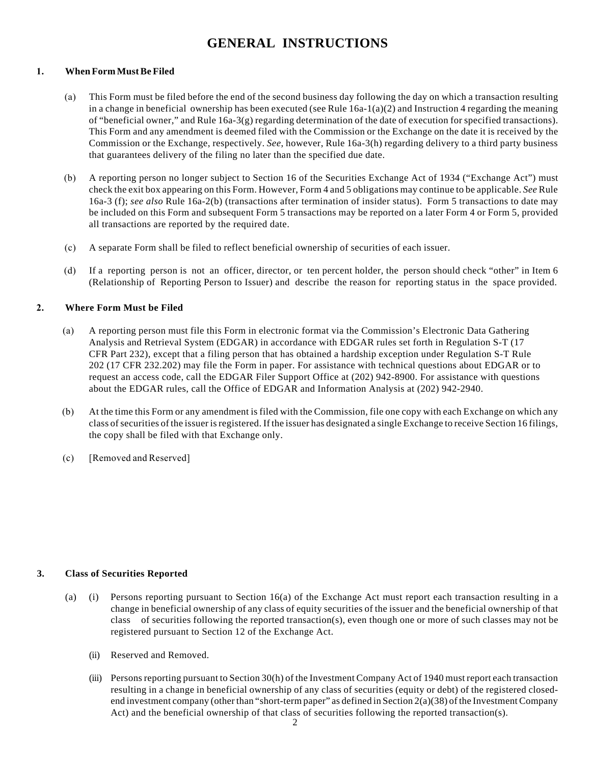# **GENERAL INSTRUCTIONS**

## **1. When Form Must Be Filed**

- (a) This Form must be filed before the end of the second business day following the day on which a transaction resulting in a change in beneficial ownership has been executed (see Rule  $16a-1(a)(2)$  and Instruction 4 regarding the meaning of "beneficial owner," and Rule 16a-3(g) regarding determination of the date of execution for specified transactions). This Form and any amendment is deemed filed with the Commission or the Exchange on the date it is received by the Commission or the Exchange, respectively. *See*, however, Rule 16a-3(h) regarding delivery to a third party business that guarantees delivery of the filing no later than the specified due date.
- (b) A reporting person no longer subject to Section 16 of the Securities Exchange Act of 1934 ("Exchange Act") must check the exit box appearing on this Form. However, Form 4 and 5 obligations may continue to be applicable. *See* Rule 16a-3 (f); *see also* Rule 16a-2(b) (transactions after termination of insider status). Form 5 transactions to date may be included on this Form and subsequent Form 5 transactions may be reported on a later Form 4 or Form 5, provided all transactions are reported by the required date.
- (c) A separate Form shall be filed to reflect beneficial ownership of securities of each issuer.
- (d) If a reporting person is not an officer, director, or ten percent holder, the person should check "other" in Item 6 (Relationship of Reporting Person to Issuer) and describe the reason for reporting status in the space provided.

## **2. Where Form Must be Filed**

- (a) A reporting person must file this Form in electronic format via the Commission's Electronic Data Gathering Analysis and Retrieval System (EDGAR) in accordance with EDGAR rules set forth in Regulation S-T (17 CFR Part 232), except that a filing person that has obtained a hardship exception under Regulation S-T Rule 202 (17 CFR 232.202) may file the Form in paper. For assistance with technical questions about EDGAR or to request an access code, call the EDGAR Filer Support Office at (202) 942-8900. For assistance with questions about the EDGAR rules, call the Office of EDGAR and Information Analysis at (202) 942-2940.
- (b) At the time this Form or any amendment is filed with the Commission, file one copy with each Exchange on which any class of securities of the issuer is registered. If the issuer has designated a single Exchange to receive Section 16 filings, the copy shall be filed with that Exchange only.
- (c) [Removed and Reserved]

#### **3. Class of Securities Reported**

- (a) (i) Persons reporting pursuant to Section 16(a) of the Exchange Act must report each transaction resulting in a change in beneficial ownership of any class of equity securities of the issuer and the beneficial ownership of that class of securities following the reported transaction(s), even though one or more of such classes may not be registered pursuant to Section 12 of the Exchange Act.
	- (ii) Reserved and Removed.
	- (iii) Persons reporting pursuant to Section 30(h) of the Investment Company Act of 1940 must report each transaction resulting in a change in beneficial ownership of any class of securities (equity or debt) of the registered closedend investment company (other than "short-term paper" as defined in Section 2(a)(38) of the Investment Company Act) and the beneficial ownership of that class of securities following the reported transaction(s).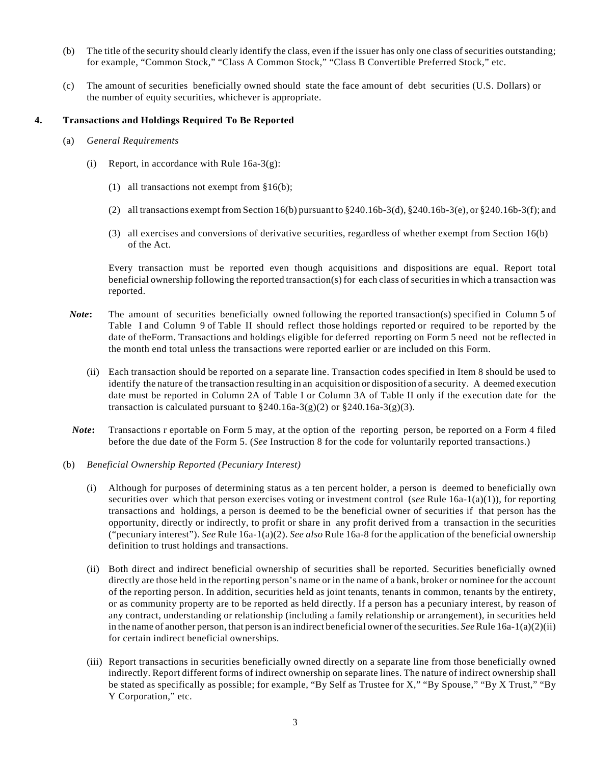- (b) The title of the security should clearly identify the class, even if the issuer has only one class of securities outstanding; for example, "Common Stock," "Class A Common Stock," "Class B Convertible Preferred Stock," etc.
- (c) The amount of securities beneficially owned should state the face amount of debt securities (U.S. Dollars) or the number of equity securities, whichever is appropriate.

#### **4. Transactions and Holdings Required To Be Reported**

- (a) *General Requirements* 
	- (i) Report, in accordance with Rule  $16a-3(g)$ :
		- (1) all transactions not exempt from §16(b);
		- (2) all transactions exempt from Section 16(b) pursuant to  $\S 240.16b-3(d)$ ,  $\S 240.16b-3(e)$ , or  $\S 240.16b-3(f)$ ; and
		- (3) all exercises and conversions of derivative securities, regardless of whether exempt from Section 16(b) of the Act.

Every transaction must be reported even though acquisitions and dispositions are equal. Report total beneficial ownership following the reported transaction(s) for each class of securities in which a transaction was reported.

- *Note***:** The amount of securities beneficially owned following the reported transaction(s) specified in Column 5 of Table I and Column 9 of Table II should reflect those holdings reported or required to be reported by the date of theForm. Transactions and holdings eligible for deferred reporting on Form 5 need not be reflected in the month end total unless the transactions were reported earlier or are included on this Form.
	- (ii) Each transaction should be reported on a separate line. Transaction codes specified in Item 8 should be used to identify the nature of the transaction resulting in an acquisition or disposition of a security. A deemed execution date must be reported in Column 2A of Table I or Column 3A of Table II only if the execution date for the transaction is calculated pursuant to  $\S 240.16a-3(g)(2)$  or  $\S 240.16a-3(g)(3)$ .
- *Note***:** Transactions r eportable on Form 5 may, at the option of the reporting person, be reported on a Form 4 filed before the due date of the Form 5. (*See* Instruction 8 for the code for voluntarily reported transactions.)
- (b) *Beneficial Ownership Reported (Pecuniary Interest)* 
	- (i) Although for purposes of determining status as a ten percent holder, a person is deemed to beneficially own securities over which that person exercises voting or investment control (*see* Rule 16a-1(a)(1)), for reporting transactions and holdings, a person is deemed to be the beneficial owner of securities if that person has the opportunity, directly or indirectly, to profit or share in any profit derived from a transaction in the securities ("pecuniary interest"). *See* Rule 16a-1(a)(2). *See also* Rule 16a-8 for the application of the beneficial ownership definition to trust holdings and transactions.
	- (ii) Both direct and indirect beneficial ownership of securities shall be reported. Securities beneficially owned directly are those held in the reporting person's name or in the name of a bank, broker or nominee for the account of the reporting person. In addition, securities held as joint tenants, tenants in common, tenants by the entirety, or as community property are to be reported as held directly. If a person has a pecuniary interest, by reason of any contract, understanding or relationship (including a family relationship or arrangement), in securities held in the name of another person, that person is an indirect beneficial owner of the securities. *See* Rule 16a-1(a)(2)(ii) for certain indirect beneficial ownerships.
	- (iii) Report transactions in securities beneficially owned directly on a separate line from those beneficially owned indirectly. Report different forms of indirect ownership on separate lines. The nature of indirect ownership shall be stated as specifically as possible; for example, "By Self as Trustee for X," "By Spouse," "By X Trust," "By Y Corporation," etc.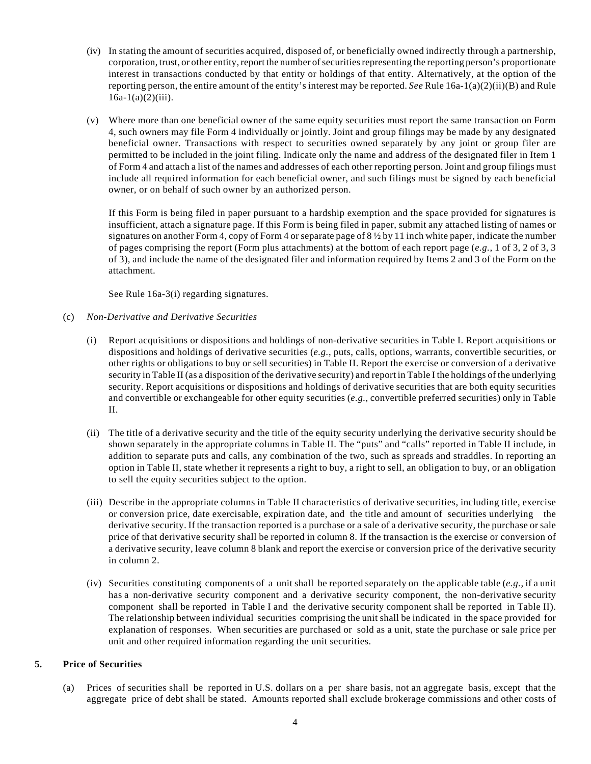- (iv) In stating the amount of securities acquired, disposed of, or beneficially owned indirectly through a partnership, corporation, trust, or other entity, report the number of securities representing the reporting person's proportionate interest in transactions conducted by that entity or holdings of that entity. Alternatively, at the option of the reporting person, the entire amount of the entity's interest may be reported. *See* Rule 16a-1(a)(2)(ii)(B) and Rule  $16a-1(a)(2)(iii)$ .
- (v) Where more than one beneficial owner of the same equity securities must report the same transaction on Form 4, such owners may file Form 4 individually or jointly. Joint and group filings may be made by any designated beneficial owner. Transactions with respect to securities owned separately by any joint or group filer are permitted to be included in the joint filing. Indicate only the name and address of the designated filer in Item 1 of Form 4 and attach a list of the names and addresses of each other reporting person. Joint and group filings must include all required information for each beneficial owner, and such filings must be signed by each beneficial owner, or on behalf of such owner by an authorized person.

If this Form is being filed in paper pursuant to a hardship exemption and the space provided for signatures is insufficient, attach a signature page. If this Form is being filed in paper, submit any attached listing of names or signatures on another Form 4, copy of Form 4 or separate page of 8 ½ by 11 inch white paper, indicate the number of pages comprising the report (Form plus attachments) at the bottom of each report page (*e.g.*, 1 of 3, 2 of 3, 3 of 3), and include the name of the designated filer and information required by Items 2 and 3 of the Form on the attachment.

See Rule 16a-3(i) regarding signatures.

- (c) *Non-Derivative and Derivative Securities* 
	- (i) Report acquisitions or dispositions and holdings of non-derivative securities in Table I. Report acquisitions or dispositions and holdings of derivative securities (*e.g.*, puts, calls, options, warrants, convertible securities, or other rights or obligations to buy or sell securities) in Table II. Report the exercise or conversion of a derivative security in Table II (as a disposition of the derivative security) and report in Table I the holdings of the underlying security. Report acquisitions or dispositions and holdings of derivative securities that are both equity securities and convertible or exchangeable for other equity securities (*e.g.*, convertible preferred securities) only in Table II.
	- (ii) The title of a derivative security and the title of the equity security underlying the derivative security should be shown separately in the appropriate columns in Table II. The "puts" and "calls" reported in Table II include, in addition to separate puts and calls, any combination of the two, such as spreads and straddles. In reporting an option in Table II, state whether it represents a right to buy, a right to sell, an obligation to buy, or an obligation to sell the equity securities subject to the option.
	- (iii) Describe in the appropriate columns in Table II characteristics of derivative securities, including title, exercise or conversion price, date exercisable, expiration date, and the title and amount of securities underlying the derivative security. If the transaction reported is a purchase or a sale of a derivative security, the purchase or sale price of that derivative security shall be reported in column 8. If the transaction is the exercise or conversion of a derivative security, leave column 8 blank and report the exercise or conversion price of the derivative security in column 2.
	- (iv) Securities constituting components of a unit shall be reported separately on the applicable table (*e.g.*, if a unit has a non-derivative security component and a derivative security component, the non-derivative security component shall be reported in Table I and the derivative security component shall be reported in Table II). The relationship between individual securities comprising the unit shall be indicated in the space provided for explanation of responses. When securities are purchased or sold as a unit, state the purchase or sale price per unit and other required information regarding the unit securities.

#### **5. Price of Securities**

(a) Prices of securities shall be reported in U.S. dollars on a per share basis, not an aggregate basis, except that the aggregate price of debt shall be stated. Amounts reported shall exclude brokerage commissions and other costs of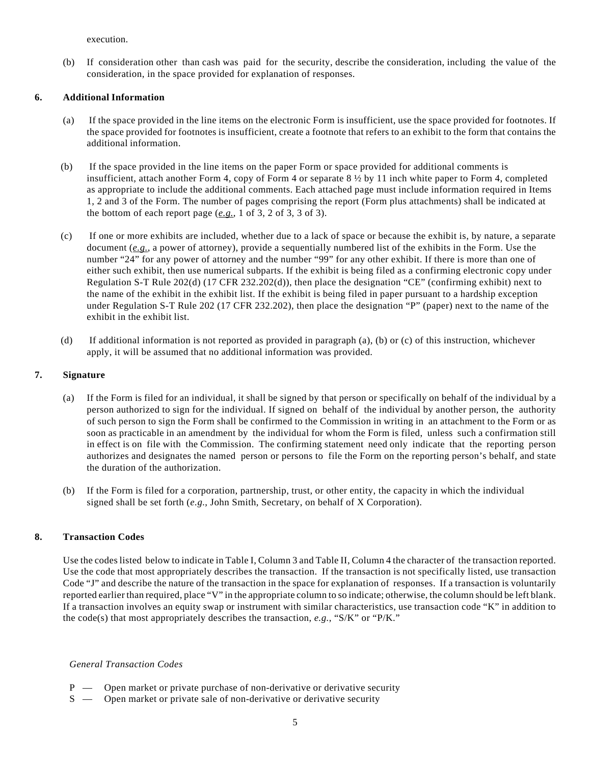execution.

(b) If consideration other than cash was paid for the security, describe the consideration, including the value of the consideration, in the space provided for explanation of responses.

#### **6. Additional Information**

- (a) If the space provided in the line items on the electronic Form is insufficient, use the space provided for footnotes. If the space provided for footnotes is insufficient, create a footnote that refers to an exhibit to the form that contains the additional information.
- (b) If the space provided in the line items on the paper Form or space provided for additional comments is insufficient, attach another Form 4, copy of Form 4 or separate 8 ½ by 11 inch white paper to Form 4, completed as appropriate to include the additional comments. Each attached page must include information required in Items 1, 2 and 3 of the Form. The number of pages comprising the report (Form plus attachments) shall be indicated at the bottom of each report page (*e.g.*, 1 of 3, 2 of 3, 3 of 3).
- (c) If one or more exhibits are included, whether due to a lack of space or because the exhibit is, by nature, a separate document (*e.g.*, a power of attorney), provide a sequentially numbered list of the exhibits in the Form. Use the number "24" for any power of attorney and the number "99" for any other exhibit. If there is more than one of either such exhibit, then use numerical subparts. If the exhibit is being filed as a confirming electronic copy under Regulation S-T Rule 202(d) (17 CFR 232.202(d)), then place the designation "CE" (confirming exhibit) next to the name of the exhibit in the exhibit list. If the exhibit is being filed in paper pursuant to a hardship exception under Regulation S-T Rule 202 (17 CFR 232.202), then place the designation "P" (paper) next to the name of the exhibit in the exhibit list.
- (d) If additional information is not reported as provided in paragraph (a), (b) or (c) of this instruction, whichever apply, it will be assumed that no additional information was provided.

## **7. Signature**

- (a) If the Form is filed for an individual, it shall be signed by that person or specifically on behalf of the individual by a person authorized to sign for the individual. If signed on behalf of the individual by another person, the authority of such person to sign the Form shall be confirmed to the Commission in writing in an attachment to the Form or as soon as practicable in an amendment by the individual for whom the Form is filed, unless such a confirmation still in effect is on file with the Commission. The confirming statement need only indicate that the reporting person authorizes and designates the named person or persons to file the Form on the reporting person's behalf, and state the duration of the authorization.
- (b) If the Form is filed for a corporation, partnership, trust, or other entity, the capacity in which the individual signed shall be set forth (*e.g.*, John Smith, Secretary, on behalf of X Corporation).

#### **8. Transaction Codes**

Use the codes listed below to indicate in Table I, Column 3 and Table II, Column 4 the character of the transaction reported. Use the code that most appropriately describes the transaction. If the transaction is not specifically listed, use transaction Code "J" and describe the nature of the transaction in the space for explanation of responses. If a transaction is voluntarily reported earlier than required, place "V" in the appropriate column to so indicate; otherwise, the column should be left blank. If a transaction involves an equity swap or instrument with similar characteristics, use transaction code "K" in addition to the code(s) that most appropriately describes the transaction, *e.g.*, "S/K" or "P/K."

#### *General Transaction Codes*

- P Open market or private purchase of non-derivative or derivative security
- S Open market or private sale of non-derivative or derivative security